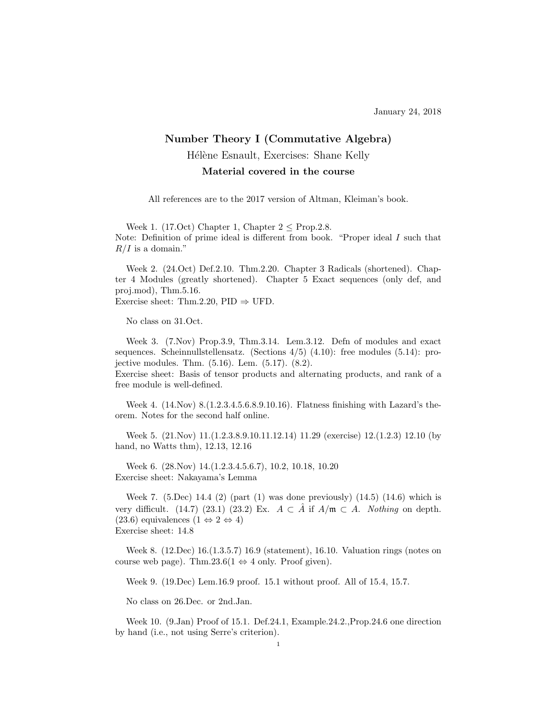## Number Theory I (Commutative Algebra) Hélène Esnault, Exercises: Shane Kelly Material covered in the course

All references are to the 2017 version of Altman, Kleiman's book.

Week 1. (17.Oct) Chapter 1, Chapter  $2 <$  Prop. 2.8. Note: Definition of prime ideal is different from book. "Proper ideal I such that  $R/I$  is a domain."

Week 2. (24.Oct) Def.2.10. Thm.2.20. Chapter 3 Radicals (shortened). Chapter 4 Modules (greatly shortened). Chapter 5 Exact sequences (only def, and proj.mod), Thm.5.16. Exercise sheet: Thm.2.20, PID  $\Rightarrow$  UFD.

No class on 31.Oct.

Week 3. (7.Nov) Prop.3.9, Thm.3.14. Lem.3.12. Defn of modules and exact sequences. Scheinnullstellensatz. (Sections 4/5) (4.10): free modules (5.14): projective modules. Thm. (5.16). Lem. (5.17). (8.2).

Exercise sheet: Basis of tensor products and alternating products, and rank of a free module is well-defined.

Week 4. (14.Nov) 8.(1.2.3.4.5.6.8.9.10.16). Flatness finishing with Lazard's theorem. Notes for the second half online.

Week 5. (21.Nov) 11.(1.2.3.8.9.10.11.12.14) 11.29 (exercise) 12.(1.2.3) 12.10 (by hand, no Watts thm), 12.13, 12.16

Week 6. (28.Nov) 14.(1.2.3.4.5.6.7), 10.2, 10.18, 10.20 Exercise sheet: Nakayama's Lemma

Week 7. (5.Dec) 14.4 (2) (part (1) was done previously) (14.5) (14.6) which is very difficult. (14.7) (23.1) (23.2) Ex.  $A \subset \overline{A}$  if  $A/\mathfrak{m} \subset A$ . Nothing on depth. (23.6) equivalences  $(1 \Leftrightarrow 2 \Leftrightarrow 4)$ Exercise sheet: 14.8

Week 8. (12.Dec) 16.(1.3.5.7) 16.9 (statement), 16.10. Valuation rings (notes on course web page). Thm.23.6(1  $\Leftrightarrow$  4 only. Proof given).

Week 9. (19.Dec) Lem.16.9 proof. 15.1 without proof. All of 15.4, 15.7.

No class on 26.Dec. or 2nd.Jan.

Week 10. (9.Jan) Proof of 15.1. Def.24.1, Example.24.2.,Prop.24.6 one direction by hand (i.e., not using Serre's criterion).